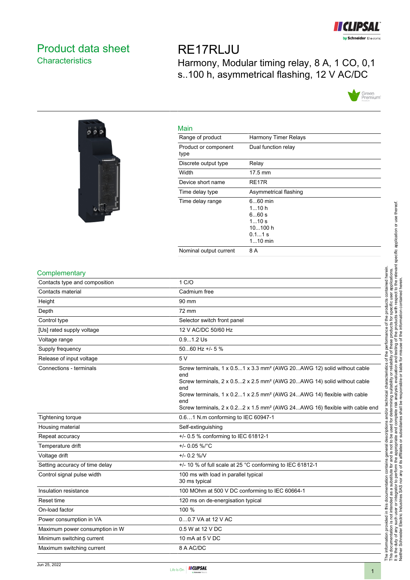

# <span id="page-0-0"></span>Product data sheet **Characteristics**

RE17RLJU Harmony, Modular timing relay, 8 A, 1 CO, 0,1 s..100 h, asymmetrical flashing, 12 V AC/DC





| Main                         |                                                                        |
|------------------------------|------------------------------------------------------------------------|
| Range of product             | Harmony Timer Relays                                                   |
| Product or component<br>type | Dual function relay                                                    |
| Discrete output type         | Relay                                                                  |
| Width                        | $17.5 \text{ mm}$                                                      |
| Device short name            | RE <sub>17</sub> R                                                     |
| Time delay type              | Asymmetrical flashing                                                  |
| Time delay range             | $660$ min<br>110 h<br>660s<br>110s<br>10100 h<br>$0.11$ s<br>$110$ min |
| Nominal output current       | 8 A                                                                    |

### **Complementary**

| Contacts type and composition  | 1 C/O                                                                                                                                                                                                                                                                                                                                                                                     |
|--------------------------------|-------------------------------------------------------------------------------------------------------------------------------------------------------------------------------------------------------------------------------------------------------------------------------------------------------------------------------------------------------------------------------------------|
| Contacts material              | Cadmium free                                                                                                                                                                                                                                                                                                                                                                              |
| Height                         | 90 mm                                                                                                                                                                                                                                                                                                                                                                                     |
| Depth                          | 72 mm                                                                                                                                                                                                                                                                                                                                                                                     |
| Control type                   | Selector switch front panel                                                                                                                                                                                                                                                                                                                                                               |
| [Us] rated supply voltage      | 12 V AC/DC 50/60 Hz                                                                                                                                                                                                                                                                                                                                                                       |
| Voltage range                  | $0.91.2$ Us                                                                                                                                                                                                                                                                                                                                                                               |
| Supply frequency               | 5060 Hz +/- 5 %                                                                                                                                                                                                                                                                                                                                                                           |
| Release of input voltage       | 5V                                                                                                                                                                                                                                                                                                                                                                                        |
| Connections - terminals        | Screw terminals, 1 x 0.51 x 3.3 mm <sup>2</sup> (AWG 20AWG 12) solid without cable<br>end<br>Screw terminals, $2 \times 0.52 \times 2.5$ mm <sup>2</sup> (AWG 20AWG 14) solid without cable<br>end<br>Screw terminals, 1 x 0.21 x 2.5 mm <sup>2</sup> (AWG 24AWG 14) flexible with cable<br>end<br>Screw terminals, 2 x 0.22 x 1.5 mm <sup>2</sup> (AWG 24AWG 16) flexible with cable end |
| <b>Tightening torque</b>       | 0.61 N.m conforming to IEC 60947-1                                                                                                                                                                                                                                                                                                                                                        |
| Housing material               | Self-extinguishing                                                                                                                                                                                                                                                                                                                                                                        |
| Repeat accuracy                | +/- 0.5 % conforming to IEC 61812-1                                                                                                                                                                                                                                                                                                                                                       |
| Temperature drift              | +/- 0.05 %/°C                                                                                                                                                                                                                                                                                                                                                                             |
| Voltage drift                  | $+/- 0.2 %$ /V                                                                                                                                                                                                                                                                                                                                                                            |
| Setting accuracy of time delay | +/- 10 % of full scale at 25 °C conforming to IEC 61812-1                                                                                                                                                                                                                                                                                                                                 |
| Control signal pulse width     | 100 ms with load in parallel typical<br>30 ms typical                                                                                                                                                                                                                                                                                                                                     |
| Insulation resistance          | 100 MOhm at 500 V DC conforming to IEC 60664-1                                                                                                                                                                                                                                                                                                                                            |
| Reset time                     | 120 ms on de-energisation typical                                                                                                                                                                                                                                                                                                                                                         |
| On-load factor                 | 100 %                                                                                                                                                                                                                                                                                                                                                                                     |
| Power consumption in VA        | 00.7 VA at 12 V AC                                                                                                                                                                                                                                                                                                                                                                        |
| Maximum power consumption in W | 0.5 W at 12 V DC                                                                                                                                                                                                                                                                                                                                                                          |
| Minimum switching current      | 10 mA at 5 V DC                                                                                                                                                                                                                                                                                                                                                                           |
| Maximum switching current      | 8 A AC/DC                                                                                                                                                                                                                                                                                                                                                                                 |

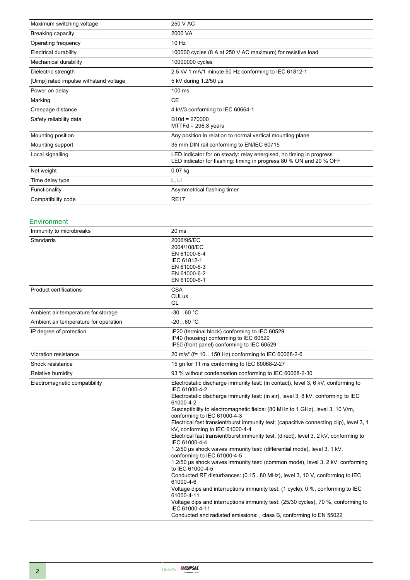| Maximum switching voltage              | 250 V AC                                                                                                                                   |  |
|----------------------------------------|--------------------------------------------------------------------------------------------------------------------------------------------|--|
| Breaking capacity                      | 2000 VA                                                                                                                                    |  |
| Operating frequency                    | $10$ Hz                                                                                                                                    |  |
| Electrical durability                  | 100000 cycles (8 A at 250 V AC maximum) for resistive load                                                                                 |  |
| Mechanical durability                  | 10000000 cycles                                                                                                                            |  |
| Dielectric strength                    | 2.5 kV 1 mA/1 minute 50 Hz conforming to IEC 61812-1                                                                                       |  |
| [Uimp] rated impulse withstand voltage | 5 kV during 1.2/50 µs                                                                                                                      |  |
| Power on delay                         | $100$ ms                                                                                                                                   |  |
| Marking                                | <b>CE</b>                                                                                                                                  |  |
| Creepage distance                      | 4 kV/3 conforming to IEC 60664-1                                                                                                           |  |
| Safety reliability data                | $B10d = 270000$<br>$MTT Fd = 296.8$ years                                                                                                  |  |
| Mounting position                      | Any position in relation to normal vertical mounting plane                                                                                 |  |
| Mounting support                       | 35 mm DIN rail conforming to EN/IEC 60715                                                                                                  |  |
| Local signalling                       | LED indicator for on steady: relay energised, no timing in progress<br>LED indicator for flashing: timing in progress 80 % ON and 20 % OFF |  |
| Net weight                             | $0.07$ kg                                                                                                                                  |  |
| Time delay type                        | L, Li                                                                                                                                      |  |
| Functionality                          | Asymmetrical flashing timer                                                                                                                |  |
| Compatibility code                     | <b>RE17</b>                                                                                                                                |  |

### Environment

| Immunity to microbreaks               | 20 ms                                                                                                                                                                                                                                                                                                                                                                                                                                                                                                                                                                                                                                                                                                                                                                                                                                                                                                                                                                                                                                                                                                                                                 |
|---------------------------------------|-------------------------------------------------------------------------------------------------------------------------------------------------------------------------------------------------------------------------------------------------------------------------------------------------------------------------------------------------------------------------------------------------------------------------------------------------------------------------------------------------------------------------------------------------------------------------------------------------------------------------------------------------------------------------------------------------------------------------------------------------------------------------------------------------------------------------------------------------------------------------------------------------------------------------------------------------------------------------------------------------------------------------------------------------------------------------------------------------------------------------------------------------------|
| Standards                             | 2006/95/EC<br>2004/108/EC<br>EN 61000-6-4<br>IEC 61812-1<br>EN 61000-6-3<br>EN 61000-6-2<br>EN 61000-6-1                                                                                                                                                                                                                                                                                                                                                                                                                                                                                                                                                                                                                                                                                                                                                                                                                                                                                                                                                                                                                                              |
| Product certifications                | <b>CSA</b><br><b>CULus</b><br>GL                                                                                                                                                                                                                                                                                                                                                                                                                                                                                                                                                                                                                                                                                                                                                                                                                                                                                                                                                                                                                                                                                                                      |
| Ambient air temperature for storage   | $-3060 °C$                                                                                                                                                                                                                                                                                                                                                                                                                                                                                                                                                                                                                                                                                                                                                                                                                                                                                                                                                                                                                                                                                                                                            |
| Ambient air temperature for operation | $-2060 °C$                                                                                                                                                                                                                                                                                                                                                                                                                                                                                                                                                                                                                                                                                                                                                                                                                                                                                                                                                                                                                                                                                                                                            |
| IP degree of protection               | IP20 (terminal block) conforming to IEC 60529<br>IP40 (housing) conforming to IEC 60529<br>IP50 (front panel) conforming to IEC 60529                                                                                                                                                                                                                                                                                                                                                                                                                                                                                                                                                                                                                                                                                                                                                                                                                                                                                                                                                                                                                 |
| Vibration resistance                  | 20 m/s <sup>2</sup> (f= 10150 Hz) conforming to IEC 60068-2-6                                                                                                                                                                                                                                                                                                                                                                                                                                                                                                                                                                                                                                                                                                                                                                                                                                                                                                                                                                                                                                                                                         |
| Shock resistance                      | 15 gn for 11 ms conforming to IEC 60068-2-27                                                                                                                                                                                                                                                                                                                                                                                                                                                                                                                                                                                                                                                                                                                                                                                                                                                                                                                                                                                                                                                                                                          |
| Relative humidity                     | 93 % without condensation conforming to IEC 60068-2-30                                                                                                                                                                                                                                                                                                                                                                                                                                                                                                                                                                                                                                                                                                                                                                                                                                                                                                                                                                                                                                                                                                |
| Electromagnetic compatibility         | Electrostatic discharge immunity test: (in contact), level 3, 6 kV, conforming to<br>IEC 61000-4-2<br>Electrostatic discharge immunity test: (in air), level 3, 8 kV, conforming to IEC<br>61000-4-2<br>Susceptibility to electromagnetic fields: (80 MHz to 1 GHz), level 3, 10 V/m,<br>conforming to IEC 61000-4-3<br>Electrical fast transient/burst immunity test: (capacitive connecting clip), level 3, 1<br>kV, conforming to IEC 61000-4-4<br>Electrical fast transient/burst immunity test: (direct), level 3, 2 kV, conforming to<br>IEC 61000-4-4<br>1.2/50 us shock waves immunity test: (differential mode), level 3, 1 kV,<br>conforming to IEC 61000-4-5<br>1.2/50 us shock waves immunity test: (common mode), level 3, 2 kV, conforming<br>to IEC 61000-4-5<br>Conducted RF disturbances: (0.1580 MHz), level 3, 10 V, conforming to IEC<br>61000-4-6<br>Voltage dips and interruptions immunity test: (1 cycle), 0 %, conforming to IEC<br>61000-4-11<br>Voltage dips and interruptions immunity test: (25/30 cycles), 70 %, conforming to<br>IEC 61000-4-11<br>Conducted and radiated emissions: , class B, conforming to EN 55022 |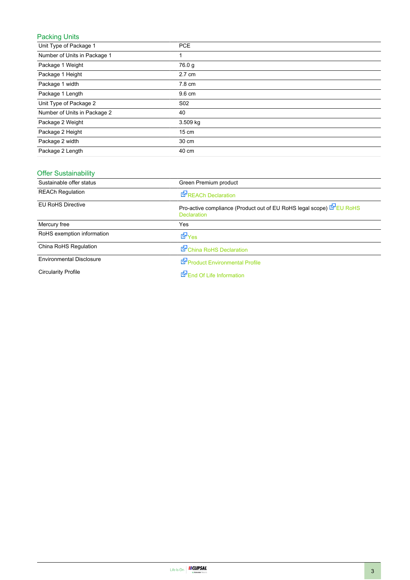## Packing Units

| Unit Type of Package 1       | <b>PCE</b>      |
|------------------------------|-----------------|
| Number of Units in Package 1 |                 |
| Package 1 Weight             | 76.0 g          |
| Package 1 Height             | 2.7 cm          |
| Package 1 width              | 7.8 cm          |
| Package 1 Length             | 9.6 cm          |
| Unit Type of Package 2       | S <sub>02</sub> |
| Number of Units in Package 2 | 40              |
| Package 2 Weight             | 3.509 kg        |
| Package 2 Height             | $15 \text{ cm}$ |
| Package 2 width              | 30 cm           |
| Package 2 Length             | 40 cm           |

### Offer Sustainability

| Sustainable offer status        | Green Premium product                                                                    |
|---------------------------------|------------------------------------------------------------------------------------------|
| <b>REACh Regulation</b>         | <b>REACh Declaration</b>                                                                 |
| <b>EU RoHS Directive</b>        | Pro-active compliance (Product out of EU RoHS legal scope) EU RoHS<br><b>Declaration</b> |
| Mercury free                    | Yes                                                                                      |
| RoHS exemption information      | <b>E</b> Yes                                                                             |
| China RoHS Regulation           | China RoHS Declaration                                                                   |
| <b>Environmental Disclosure</b> | Product Environmental Profile                                                            |
| <b>Circularity Profile</b>      | End Of Life Information                                                                  |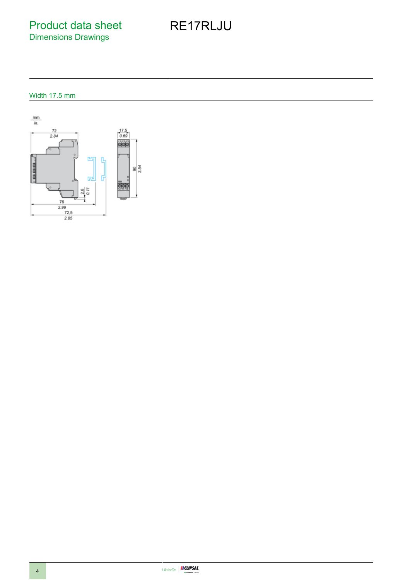Product data sheet Dimensions Drawings

# RE17RLJU

Width 17.5 mm

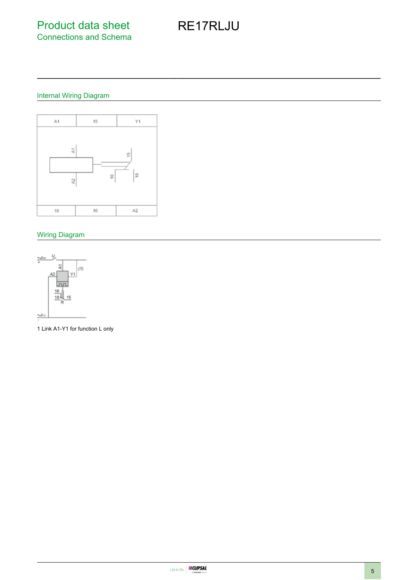Product data sheet Connections and Schema

# RE17RLJU

### Internal Wiring Diagram



## Wiring Diagram



1 Link A1-Y1 for function L only